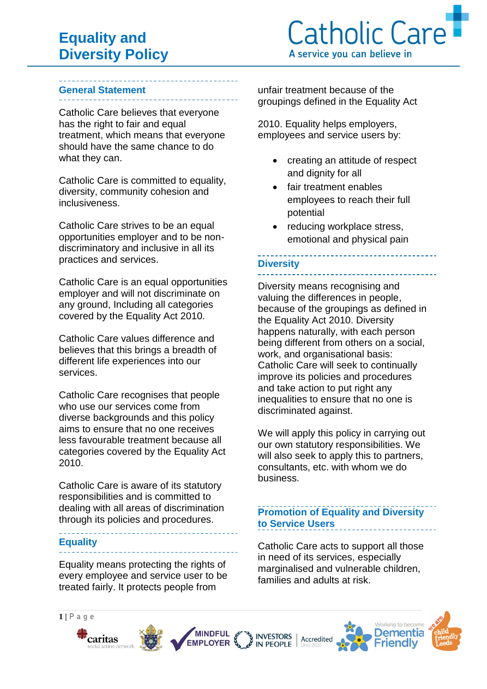## **General Statement**

Catholic Care believes that everyone has the right to fair and equal treatment, which means that everyone should have the same chance to do what they can.

Catholic Care is committed to equality, diversity, community cohesion and inclusiveness.

Catholic Care strives to be an equal opportunities employer and to be nondiscriminatory and inclusive in all its practices and services.

Catholic Care is an equal opportunities employer and will not discriminate on any ground, Including all categories covered by the Equality Act 2010.

Catholic Care values difference and believes that this brings a breadth of different life experiences into our services.

Catholic Care recognises that people who use our services come from diverse backgrounds and this policy aims to ensure that no one receives less favourable treatment because all categories covered by the Equality Act 2010.

Catholic Care is aware of its statutory responsibilities and is committed to dealing with all areas of discrimination through its policies and procedures.

### **Equality**

Equality means protecting the rights of every employee and service user to be treated fairly. It protects people from

unfair treatment because of the groupings defined in the Equality Act

2010. Equality helps employers, employees and service users by:

- creating an attitude of respect and dignity for all
- fair treatment enables employees to reach their full potential
- reducing workplace stress, emotional and physical pain

### **Diversity**

Diversity means recognising and valuing the differences in people, because of the groupings as defined in the Equality Act 2010. Diversity happens naturally, with each person being different from others on a social, work, and organisational basis: Catholic Care will seek to continually improve its policies and procedures and take action to put right any inequalities to ensure that no one is discriminated against.

We will apply this policy in carrying out our own statutory responsibilities. We will also seek to apply this to partners, consultants, etc. with whom we do business.

## **Promotion of Equality and Diversity to Service Users**

Catholic Care acts to support all those in need of its services, especially marginalised and vulnerable children, families and adults at risk.









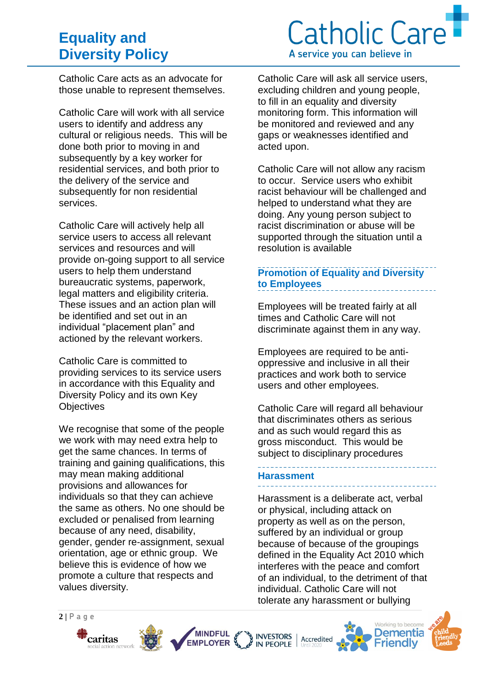# **Equality and Diversity Policy**



Catholic Care acts as an advocate for those unable to represent themselves.

Catholic Care will work with all service users to identify and address any cultural or religious needs. This will be done both prior to moving in and subsequently by a key worker for residential services, and both prior to the delivery of the service and subsequently for non residential services.

Catholic Care will actively help all service users to access all relevant services and resources and will provide on-going support to all service users to help them understand bureaucratic systems, paperwork, legal matters and eligibility criteria. These issues and an action plan will be identified and set out in an individual "placement plan" and actioned by the relevant workers.

Catholic Care is committed to providing services to its service users in accordance with this Equality and Diversity Policy and its own Key **Objectives** 

We recognise that some of the people we work with may need extra help to get the same chances. In terms of training and gaining qualifications, this may mean making additional provisions and allowances for individuals so that they can achieve the same as others. No one should be excluded or penalised from learning because of any need, disability, gender, gender re-assignment, sexual orientation, age or ethnic group. We believe this is evidence of how we promote a culture that respects and values diversity.

**MINDFUL** 

**EMPLOYER** 

Catholic Care will ask all service users, excluding children and young people, to fill in an equality and diversity monitoring form. This information will be monitored and reviewed and any gaps or weaknesses identified and acted upon.

Catholic Care will not allow any racism to occur. Service users who exhibit racist behaviour will be challenged and helped to understand what they are doing. Any young person subject to racist discrimination or abuse will be supported through the situation until a resolution is available

## **Promotion of Equality and Diversity to Employees**

Employees will be treated fairly at all times and Catholic Care will not discriminate against them in any way.

Employees are required to be antioppressive and inclusive in all their practices and work both to service users and other employees.

Catholic Care will regard all behaviour that discriminates others as serious and as such would regard this as gross misconduct. This would be subject to disciplinary procedures

# **Harassment**

INVESTORS<br>IN PEOPLE

Harassment is a deliberate act, verbal or physical, including attack on property as well as on the person, suffered by an individual or group because of because of the groupings defined in the Equality Act 2010 which interferes with the peace and comfort of an individual, to the detriment of that individual. Catholic Care will not tolerate any harassment or bullying

Accredited